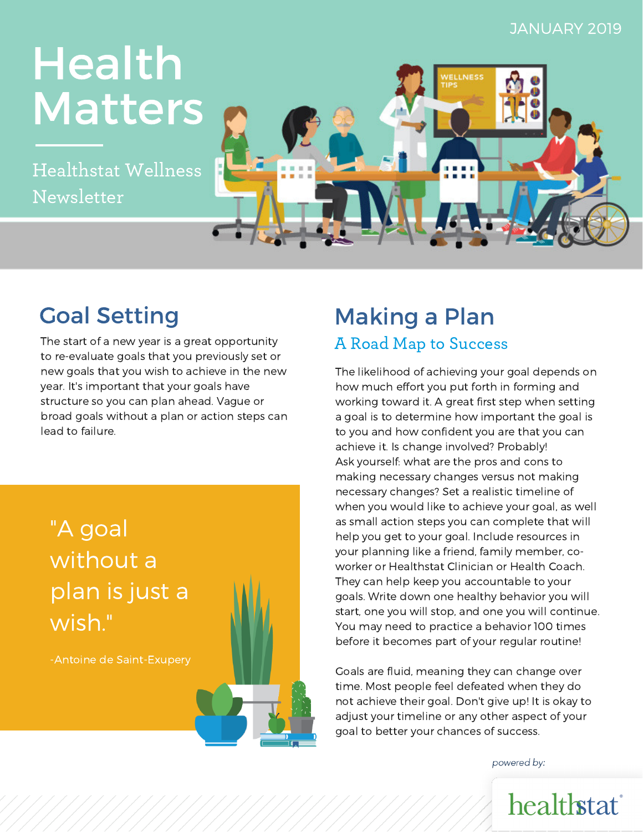#### JANUARY 2019

# **Matters** Health

Tealthstat wenness Healthstat Wellness Newsletter



The start of a new year is a great opportunity to re-evaluate goals that you previously set or new goals that you wish to achieve in the new year. It's important that your goals have structure so you can plan ahead. Vague or broad goals without a plan or action steps can lead to failure.

## "A goal without a plan is just a wish."

-Antoine de Saint-Exupery

## Goal Setting **Making a Plan**

#### A Road Map to Success

The likelihood of achieving your goal depends on how much effort you put forth in forming and working toward it. A great first step when setting a goal is to determine how important the goal is to you and how confident you are that you can achieve it. Is change involved? Probably! Ask yourself: what are the pros and cons to making necessary changes versus not making necessary changes? Set a realistic timeline of when you would like to achieve your goal, as well as small action steps you can complete that will help you get to your goal. Include resources in your planning like a friend, family member, coworker or Healthstat Clinician or Health Coach. They can help keep you accountable to your goals. Write down one healthy behavior you will start, one you will stop, and one you will continue. You may need to practice a behavior 100 times before it becomes part of your regular routine!

Goals are fluid, meaning they can change over time. Most people feel defeated when they do not achieve their goal. Don't give up! It is okay to adjust your timeline or any other aspect of your goal to better your chances of success.

powered by: